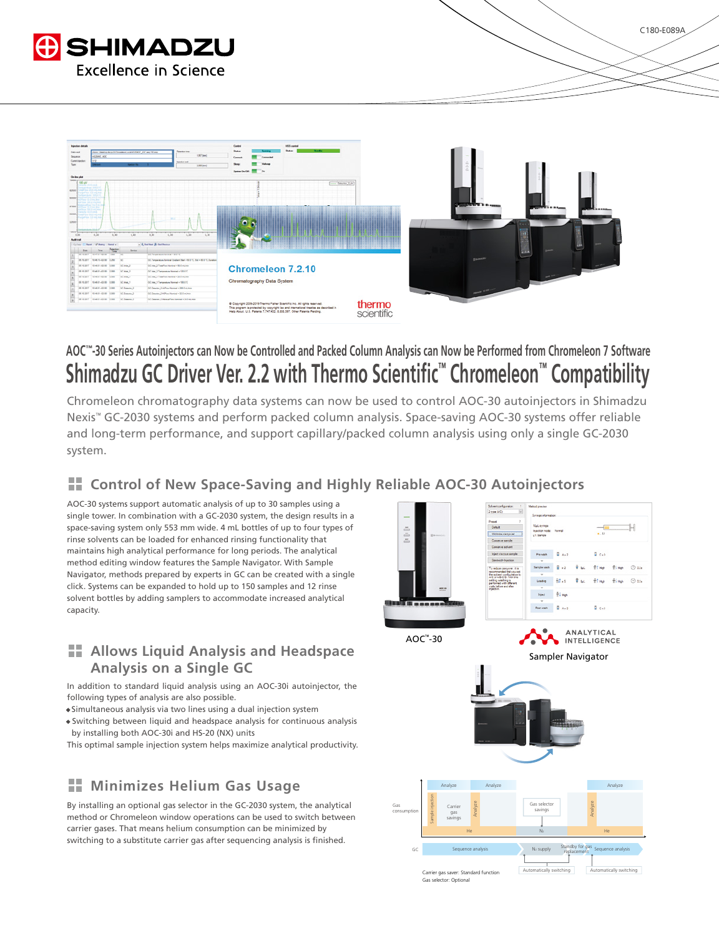



# Shimadzu GC Driver Ver. 2.2 with Thermo Scientific<sup>™</sup> Chromeleon<sup>™</sup> Compatibility AOC<sup>™</sup>-30 Series Autoinjectors can Now be Controlled and Packed Column Analysis can Now be Performed from Chromeleon 7 Software

Chromeleon chromatography data systems can now be used to control AOC-30 autoinjectors in Shimadzu Nexis<sup>™</sup> GC-2030 systems and perform packed column analysis. Space-saving AOC-30 systems offer reliable and long-term performance, and support capillary/packed column analysis using only a single GC-2030 system.

### **Autoing Control of New Space-Saving and Highly Reliable AOC-30 Autoinjectors**

AOC-30 systems support automatic analysis of up to 30 samples using a single tower. In combination with a GC-2030 system, the design results in a space-saving system only 553 mm wide. 4 mL bottles of up to four types of rinse solvents can be loaded for enhanced rinsing functionality that maintains high analytical performance for long periods. The analytical method editing window features the Sample Navigator. With Sample Navigator, methods prepared by experts in GC can be created with a single click. Systems can be expanded to hold up to 150 samples and 12 rinse solvent bottles by adding samplers to accommodate increased analytical .capacity

#### **Headspace 3 Allows Liquid Analysis and Headspace Analysis on a Single GC**

In addition to standard liquid analysis using an AOC-30i autoinjector, the following types of analysis are also possible.

- · Simultaneous analysis via two lines using a dual injection system
- Switching between liquid and headspace analysis for continuous analysis by installing both AOC-30i and HS-20 (NX) units

This optimal sample injection system helps maximize analytical productivity.

## **H** Minimizes Helium Gas Usage

By installing an optional gas selector in the GC-2030 system, the analytical method or Chromeleon window operations can be used to switch between carrier gases. That means helium consumption can be minimized by switching to a substitute carrier gas after sequencing analysis is finished.